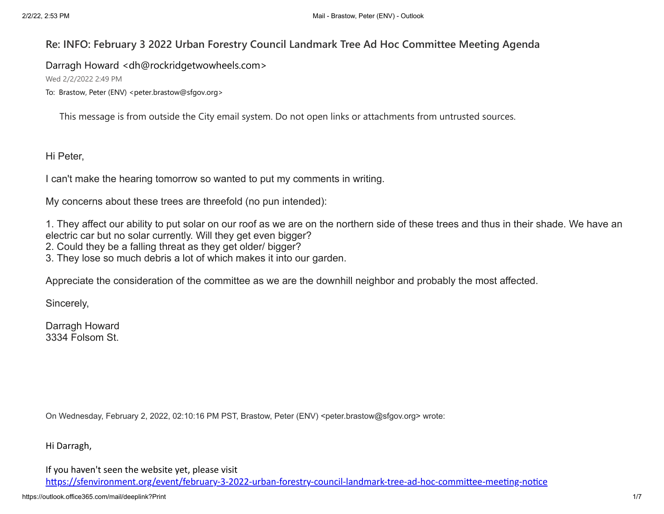# **Re: INFO: February 3 2022 Urban Forestry Council Landmark Tree Ad Hoc Committee Meeting Agenda**

Darragh Howard <dh@rockridgetwowheels.com>

Wed 2/2/2022 2:49 PM

To: Brastow, Peter (ENV) <peter.brastow@sfgov.org>

This message is from outside the City email system. Do not open links or attachments from untrusted sources.

Hi Peter,

I can't make the hearing tomorrow so wanted to put my comments in writing.

My concerns about these trees are threefold (no pun intended):

1. They affect our ability to put solar on our roof as we are on the northern side of these trees and thus in their shade. We have an electric car but no solar currently. Will they get even bigger?

2. Could they be a falling threat as they get older/ bigger?

3. They lose so much debris a lot of which makes it into our garden.

Appreciate the consideration of the committee as we are the downhill neighbor and probably the most affected.

Sincerely,

Darragh Howard 3334 Folsom St.

On Wednesday, February 2, 2022, 02:10:16 PM PST, Brastow, Peter (ENV) <peter.brastow@sfgov.org> wrote:

Hi Darragh,

If you haven't seen the website yet, please visit

[https://sfenvironment.org/event/february-3-2022-urban-forestry-council-landmark-tree-ad-hoc-committee-meeting-notice](https://avanan.url-protection.com/v1/url?o=https%3A//sfenvironment.org/event/february-3-2022-urban-forestry-council-landmark-tree-ad-hoc-committee-meeting-notice&g=MjVmMDQ5ZmYzNjY1YzI5OQ==&h=NTQ3NzlkNjQ4MWMwM2NkMzUwNjU2MzhhODNjYjQ3MjUxMmYwY2NiZjI3N2MzODJiNDVkNTI4NTNmZTE1YzI5ZA==&p=YXAzOnNmZHQyOmE6bzo1ZDNlMmE0MjI2YThmMDgwNmExZjZlMzVlOWJkMmRhMDp2MTpoOk4=)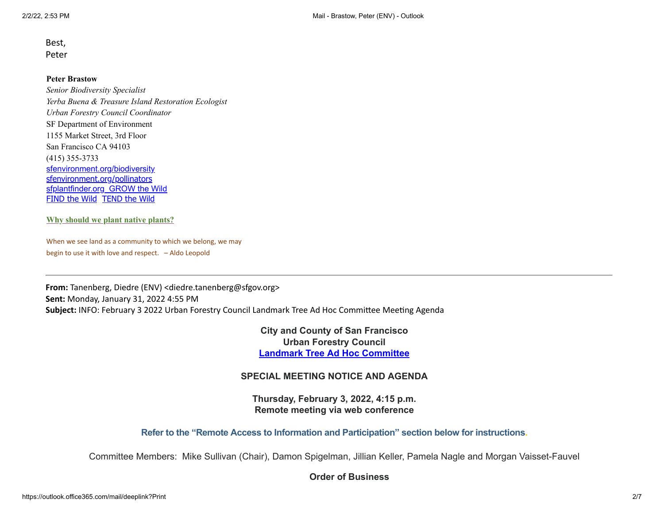Best, Peter

#### **Peter Brastow**

*Senior Biodiversity Specialist Yerba Buena & Treasure Island Restoration Ecologist Urban Forestry Council Coordinator* SF Department of Environment 1155 Market Street, 3rd Floor San Francisco CA 94103 (415) 355-3733 [sfenvironment.org/biodiversity](https://avanan.url-protection.com/v1/url?o=http%3A//www.sfenvironment.org/biodiversity&g=ZmRiYWQ2MjEzMzUxZTEyMQ==&h=NTMzNmM4ZjYwOGEzYmYwZDQzNjc0ZTU5ZmVmNmZlMjRiMGUzNDA1Y2VhZDg3NTc1Y2Y3MmY5NDIzNjQ2MDdmMw==&p=YXAzOnNmZHQyOmE6bzo1ZDNlMmE0MjI2YThmMDgwNmExZjZlMzVlOWJkMmRhMDp2MTpoOk4=) [sfenvironment.org/pollinators](https://avanan.url-protection.com/v1/url?o=http%3A//www.sfenvironment.org/pollinators&g=ZmU4MDAyN2M0MmVlYmE4OQ==&h=Nzc4ZjU3Mjk1MzllZjIyNzM1NzAyMmU2ODU4NjBlZmM0ZGNhZDljMGUzNzA4YzNlOWZkMmFlN2E1OTBiYzc3Yg==&p=YXAzOnNmZHQyOmE6bzo1ZDNlMmE0MjI2YThmMDgwNmExZjZlMzVlOWJkMmRhMDp2MTpoOk4=) [sfplantfinder.org](https://avanan.url-protection.com/v1/url?o=http%3A//www.sfplantfinder.org/&g=NmMzMzI3NmU5MTJjOGFlOQ==&h=YWJhMmZkYTQ5MDdiZDdhOGNkNDhiM2ZiZDk0MDY5OTJhMDIzZGJkMmQyN2ZmMTM4YzQ1OTlhYjljYmY0MzU4Nw==&p=YXAzOnNmZHQyOmE6bzo1ZDNlMmE0MjI2YThmMDgwNmExZjZlMzVlOWJkMmRhMDp2MTpoOk4=) [GROW the Wild](https://avanan.url-protection.com/v1/url?o=http%3A//sfenvironment.org/solution/how-can-i-transition-to-a-droughttolerant-yard&g=ZGZiYjlkOGZkMjA0NzI2Mg==&h=ZWE4NjgxZjQ3ZGFiMzI3OWQ3MDVhMGY3ZDlkOTk4MjRmY2EzMmY0ZjY3Zjg5NzRiOTA5YjVlMWZkOGY0ODZkYg==&p=YXAzOnNmZHQyOmE6bzo1ZDNlMmE0MjI2YThmMDgwNmExZjZlMzVlOWJkMmRhMDp2MTpoOk4=) [FIND the Wild](https://avanan.url-protection.com/v1/url?o=http%3A//sfenvironment.org/solution/visit-birds-butterflies-and-plants&g=YzkyMmJmNTRiNTg1ZThlMw==&h=OTVlYjJhNWM1MTEwOTA5MzJhNDQxYWE5NzM2YWE2OGM2ZmZhNDVjYmQ0ZGYzZWQ4MzBhZWQwMzRlMmFlY2YxYQ==&p=YXAzOnNmZHQyOmE6bzo1ZDNlMmE0MjI2YThmMDgwNmExZjZlMzVlOWJkMmRhMDp2MTpoOk4=) [TEND the Wild](https://avanan.url-protection.com/v1/url?o=http%3A//sfenvironment.org/solution/volunteer-to-restore-habitat-and-increase-biodiversity&g=MzcxYTUzNWZkYWYzZGZkZg==&h=MTIxOTQwYTVlNzZiNDJlYTI5NjQ2ZmUxZmY2OWY0ZDI5MjJlODUxNWJmODFkZTQ5NmJkYjYwZDAwMDE3Njc2MA==&p=YXAzOnNmZHQyOmE6bzo1ZDNlMmE0MjI2YThmMDgwNmExZjZlMzVlOWJkMmRhMDp2MTpoOk4=)

#### **Why should we plant native [plants?](https://avanan.url-protection.com/v1/url?o=https%3A//www.youtube.com/watch%3Fv%3Dyo4ZJ-ryTaE%26amp%3Bfeature%3Dyoutu.be&g=MTNmNzU4ZjlhYjZiODgyNw==&h=OWI3NzMxNGNjNmUxNTg5ZmY5MTJkYWU4YTM1MjlhZDg4NzcxOWUxOGM1MWEwMTBiNmUzNTgwNjIzNzllMWRkYg==&p=YXAzOnNmZHQyOmE6bzo1ZDNlMmE0MjI2YThmMDgwNmExZjZlMzVlOWJkMmRhMDp2MTpoOk4=)**

When we see land as a community to which we belong, we may begin to use it with love and respect. – Aldo Leopold

**From:** Tanenberg, Diedre (ENV) <diedre.tanenberg@sfgov.org> **Sent:** Monday, January 31, 2022 4:55 PM **Subject:** INFO: February 3 2022 Urban Forestry Council Landmark Tree Ad Hoc Committee Meeting Agenda

> **City and County of San Francisco Urban Forestry Council Landmark Tree Ad Hoc [Committee](https://avanan.url-protection.com/v1/url?o=https%3A//sfenvironment.org/event/february-3-2022-urban-forestry-council-landmark-tree-ad-hoc-committee-meeting-notice&g=NTQxYzI4ODNiNmQ5NzA3ZQ==&h=YzJhYzhjODRhZTBiNjM3OGJhYjgwZDYwMDJiZmQzOTQwMDMzMGMxODRjYzdiYmRmOWUzYTUyNzUxYWJjOTlmOA==&p=YXAzOnNmZHQyOmE6bzo1ZDNlMmE0MjI2YThmMDgwNmExZjZlMzVlOWJkMmRhMDp2MTpoOk4=)**

#### **SPECIAL MEETING NOTICE AND AGENDA**

**Thursday, February 3, 2022, 4:15 p.m. Remote meeting via web conference**

**Refer to the "Remote Access to Information and Participation" section below for instructions.**

Committee Members: Mike Sullivan (Chair), Damon Spigelman, Jillian Keller, Pamela Nagle and Morgan Vaisset-Fauvel

#### **Order of Business**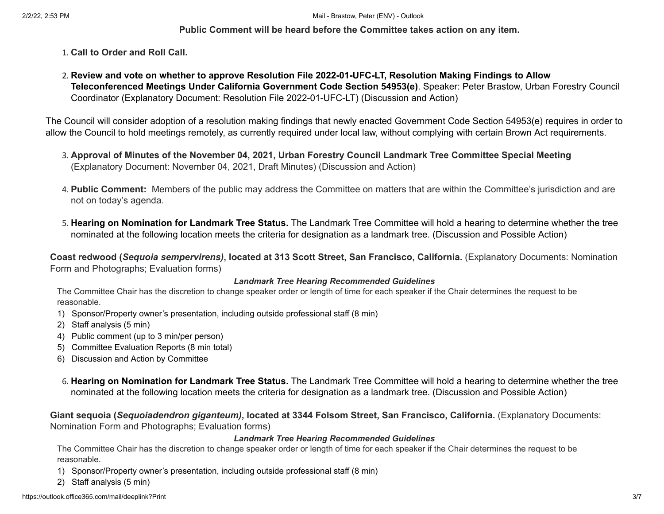## **Public Comment will be heard before the Committee takes action on any item.**

- 1. **Call to Order and Roll Call.**
- 2. **Review and vote on whether to approve Resolution File 2022-01-UFC-LT, Resolution Making Findings to Allow Teleconferenced Meetings Under California Government Code Section 54953(e)**. Speaker: Peter Brastow, Urban Forestry Council Coordinator (Explanatory Document: Resolution File 2022-01-UFC-LT) (Discussion and Action)

The Council will consider adoption of a resolution making findings that newly enacted Government Code Section 54953(e) requires in order to allow the Council to hold meetings remotely, as currently required under local law, without complying with certain Brown Act requirements.

- 3. **Approval of Minutes of the November 04, 2021, Urban Forestry Council Landmark Tree Committee Special Meeting** (Explanatory Document: November 04, 2021, Draft Minutes) (Discussion and Action)
- 4. **Public Comment:** Members of the public may address the Committee on matters that are within the Committee's jurisdiction and are not on today's agenda.
- 5. **Hearing on Nomination for Landmark Tree Status.** The Landmark Tree Committee will hold a hearing to determine whether the tree nominated at the following location meets the criteria for designation as a landmark tree. (Discussion and Possible Action)

Coast redwood (Sequoia sempervirens), located at 313 Scott Street, San Francisco, California. (Explanatory Documents: Nomination Form and Photographs; Evaluation forms)

#### *Landmark Tree Hearing Recommended Guidelines*

The Committee Chair has the discretion to change speaker order or length of time for each speaker if the Chair determines the request to be reasonable.

- 1) Sponsor/Property owner's presentation, including outside professional staff (8 min)
- 2) Staff analysis (5 min)
- 4) Public comment (up to 3 min/per person)
- 5) Committee Evaluation Reports (8 min total)
- 6) Discussion and Action by Committee
- 6. **Hearing on Nomination for Landmark Tree Status.** The Landmark Tree Committee will hold a hearing to determine whether the tree nominated at the following location meets the criteria for designation as a landmark tree. (Discussion and Possible Action)

**Giant sequoia (***Sequoiadendron giganteum)***, located at 3344 Folsom Street, San Francisco, California.** (Explanatory Documents: Nomination Form and Photographs; Evaluation forms)

#### *Landmark Tree Hearing Recommended Guidelines*

The Committee Chair has the discretion to change speaker order or length of time for each speaker if the Chair determines the request to be reasonable.

- 1) Sponsor/Property owner's presentation, including outside professional staff (8 min)
- 2) Staff analysis (5 min)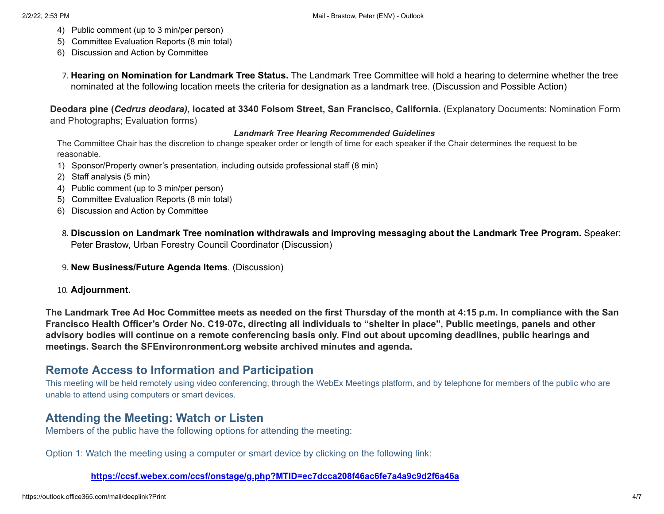- 4) Public comment (up to 3 min/per person)
- 5) Committee Evaluation Reports (8 min total)
- 6) Discussion and Action by Committee
- 7. **Hearing on Nomination for Landmark Tree Status.** The Landmark Tree Committee will hold a hearing to determine whether the tree nominated at the following location meets the criteria for designation as a landmark tree. (Discussion and Possible Action)

Deodara pine (Cedrus deodara), located at 3340 Folsom Street, San Francisco, California. (Explanatory Documents: Nomination Form and Photographs; Evaluation forms)

## *Landmark Tree Hearing Recommended Guidelines*

The Committee Chair has the discretion to change speaker order or length of time for each speaker if the Chair determines the request to be reasonable.

- 1) Sponsor/Property owner's presentation, including outside professional staff (8 min)
- 2) Staff analysis (5 min)
- 4) Public comment (up to 3 min/per person)
- 5) Committee Evaluation Reports (8 min total)
- 6) Discussion and Action by Committee
- 8. **Discussion on Landmark Tree nomination withdrawals and improving messaging about the Landmark Tree Program.** Speaker: Peter Brastow, Urban Forestry Council Coordinator (Discussion)
- 9. **New Business/Future Agenda Items**. (Discussion)
- 10. **Adjournment.**

The Landmark Tree Ad Hoc Committee meets as needed on the first Thursday of the month at 4:15 p.m. In compliance with the San Francisco Health Officer's Order No. C19-07c, directing all individuals to "shelter in place", Public meetings, panels and other advisory bodies will continue on a remote conferencing basis only. Find out about upcoming deadlines, public hearings and **meetings. Search the SFEnvironronment.org website archived minutes and agenda.**

# **Remote Access to Information and Participation**

This meeting will be held remotely using video conferencing, through the WebEx Meetings platform, and by telephone for members of the public who are unable to attend using computers or smart devices.

# **Attending the Meeting: Watch or Listen**

Members of the public have the following options for attending the meeting:

Option 1: Watch the meeting using a computer or smart device by clicking on the following link:

**[https://ccsf.webex.com/ccsf/onstage/g.php?MTID=ec7dcca208f46ac6fe7a4a9c9d2f6a46a](https://avanan.url-protection.com/v1/url?o=https%3A//ccsf.webex.com/ccsf/onstage/g.php%3FMTID%3Dec7dcca208f46ac6fe7a4a9c9d2f6a46a&g=MTcxNGFkMTdkOTgzYzVlNA==&h=ZDAyNWI3NTdhMmZhNWNiY2VmZTdmN2VjZjZmMzIxODcyMDc1NzM5MjE4NWJlNWEwYzcwMTA5YzY5ODBhN2ZiOA==&p=YXAzOnNmZHQyOmE6bzo1ZDNlMmE0MjI2YThmMDgwNmExZjZlMzVlOWJkMmRhMDp2MTpoOk4=)**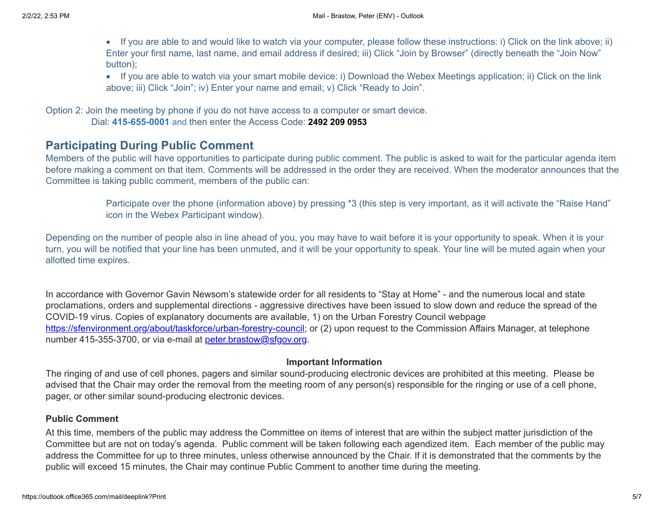- · If you are able to and would like to watch via your computer, please follow these instructions: i) Click on the link above; ii) Enter your first name, last name, and email address if desired; iii) Click "Join by Browser" (directly beneath the "Join Now" button);
- · If you are able to watch via your smart mobile device: i) Download the Webex Meetings application; ii) Click on the link above; iii) Click "Join"; iv) Enter your name and email; v) Click "Ready to Join".

Option 2: Join the meeting by phone if you do not have access to a computer or smart device.

Dial: **415-655-0001** and then enter the Access Code: **2492 209 0953**

# **Participating During Public Comment**

Members of the public will have opportunities to participate during public comment. The public is asked to wait for the particular agenda item before making a comment on that item. Comments will be addressed in the order they are received. When the moderator announces that the Committee is taking public comment, members of the public can:

> Participate over the phone (information above) by pressing \*3 (this step is very important, as it will activate the "Raise Hand" icon in the Webex Participant window).

Depending on the number of people also in line ahead of you, you may have to wait before it is your opportunity to speak. When it is your turn, you will be notified that your line has been unmuted, and it will be your opportunity to speak. Your line will be muted again when your allotted time expires.

In accordance with Governor Gavin Newsom's statewide order for all residents to "Stay at Home" - and the numerous local and state proclamations, orders and supplemental directions - aggressive directives have been issued to slow down and reduce the spread of the COVID-19 virus. Copies of explanatory documents are available, 1) on the Urban Forestry Council webpage [https://sfenvironment.org/about/taskforce/urban-forestry-council](https://avanan.url-protection.com/v1/url?o=https%3A//sfenvironment.org/about/taskforce/urban-forestry-council&g=ZjgzN2QyZjVmMmZiM2I1MA==&h=MTVlOWZjNjQxNTA2ZjM1MTM0Y2RjODY4MTkzNWY3YmJlODcxNTAzYjAyOTBkZTI1OGJhNTU5OTIzZWQxZDljZA==&p=YXAzOnNmZHQyOmE6bzo1ZDNlMmE0MjI2YThmMDgwNmExZjZlMzVlOWJkMmRhMDp2MTpoOk4=); or (2) upon request to the Commission Affairs Manager, at telephone number 415-355-3700, or via e-mail at [peter.brastow@sfgov.org](mailto:peter.brastow@sfgov.org).

# **Important Information**

The ringing of and use of cell phones, pagers and similar sound-producing electronic devices are prohibited at this meeting. Please be advised that the Chair may order the removal from the meeting room of any person(s) responsible for the ringing or use of a cell phone, pager, or other similar sound-producing electronic devices.

## **Public Comment**

At this time, members of the public may address the Committee on items of interest that are within the subject matter jurisdiction of the Committee but are not on today's agenda. Public comment will be taken following each agendized item. Each member of the public may address the Committee for up to three minutes, unless otherwise announced by the Chair. If it is demonstrated that the comments by the public will exceed 15 minutes, the Chair may continue Public Comment to another time during the meeting.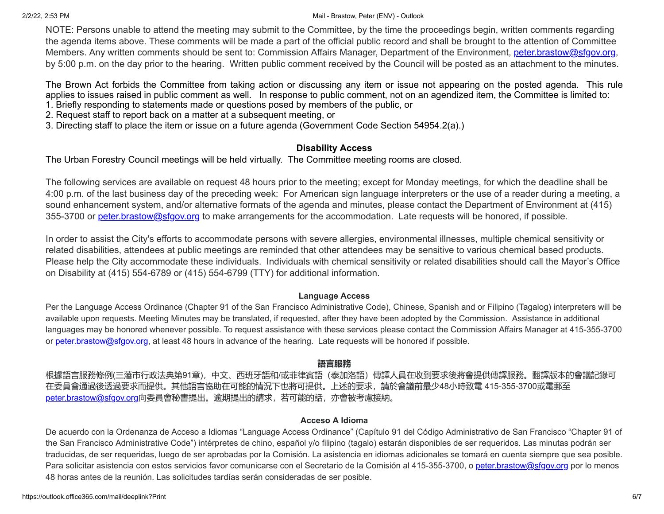#### 2/2/22, 2:53 PM Mail - Brastow, Peter (ENV) - Outlook

NOTE: Persons unable to attend the meeting may submit to the Committee, by the time the proceedings begin, written comments regarding the agenda items above. These comments will be made a part of the official public record and shall be brought to the attention of Committee Members. Any written comments should be sent to: Commission Affairs Manager, Department of the Environment, [peter.brastow@sfgov.org,](mailto:katie.chansler@sfgov.org) by 5:00 p.m. on the day prior to the hearing. Written public comment received by the Council will be posted as an attachment to the minutes.

The Brown Act forbids the Committee from taking action or discussing any item or issue not appearing on the posted agenda. This rule applies to issues raised in public comment as well. In response to public comment, not on an agendized item, the Committee is limited to: 1. Briefly responding to statements made or questions posed by members of the public, or

- 2. Request staff to report back on a matter at a subsequent meeting, or
- 3. Directing staff to place the item or issue on a future agenda (Government Code Section 54954.2(a).)

## **Disability Access**

The Urban Forestry Council meetings will be held virtually. The Committee meeting rooms are closed.

The following services are available on request 48 hours prior to the meeting; except for Monday meetings, for which the deadline shall be 4:00 p.m. of the last business day of the preceding week: For American sign language interpreters or the use of a reader during a meeting, a sound enhancement system, and/or alternative formats of the agenda and minutes, please contact the Department of Environment at (415) 355-3700 or [peter.brastow@sfgov.org](mailto:katie.chansler@sfgov.org) to make arrangements for the accommodation. Late requests will be honored, if possible.

In order to assist the City's efforts to accommodate persons with severe allergies, environmental illnesses, multiple chemical sensitivity or related disabilities, attendees at public meetings are reminded that other attendees may be sensitive to various chemical based products. Please help the City accommodate these individuals. Individuals with chemical sensitivity or related disabilities should call the Mayor's Office on Disability at (415) 554-6789 or (415) 554-6799 (TTY) for additional information.

## **Language Access**

Per the Language Access Ordinance (Chapter 91 of the San Francisco Administrative Code), Chinese, Spanish and or Filipino (Tagalog) interpreters will be available upon requests. Meeting Minutes may be translated, if requested, after they have been adopted by the Commission. Assistance in additional languages may be honored whenever possible. To request assistance with these services please contact the Commission Affairs Manager at 415-355-3700 or [peter.brastow@sfgov.org,](mailto:peter.brastow@sfgov.org) at least 48 hours in advance of the hearing. Late requests will be honored if possible.

## **語言服務**

根據語言服務條例(三藩市行政法典第91章),中文、西班牙語和/或菲律賓語(泰加洛語)傳譯人員在收到要求後將會提供傳譯服務。翻譯版本的會議記錄可 在委員會通過後透過要求而提供。其他語言協助在可能的情況下也將可提供。上述的要求,請於會議前最少48小時致電 415-355-3700或電郵至 <u>[peter.brastow@sfgov.org](mailto:%20katie.chansler@sfgov.org)</u>向委員會秘書提出。逾期提出的請求,若可能的話,亦會被考慮接納。

#### **Acceso A Idioma**

De acuerdo con la Ordenanza de Acceso a Idiomas "Language Access Ordinance" (Capítulo 91 del Código Administrativo de San Francisco "Chapter 91 of the San Francisco Administrative Code") intérpretes de chino, español y/o filipino (tagalo) estarán disponibles de ser requeridos. Las minutas podrán ser traducidas, de ser requeridas, luego de ser aprobadas por la Comisión. La asistencia en idiomas adicionales se tomará en cuenta siempre que sea posible. Para solicitar asistencia con estos servicios favor comunicarse con el Secretario de la Comisión al 415-355-3700, o [peter.brastow@sfgov.org](mailto:peter.brastow@sfgov.org) por lo menos 48 horas antes de la reunión. Las solicitudes tardías serán consideradas de ser posible.